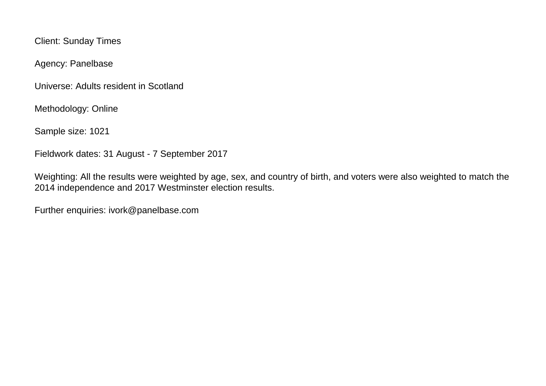Client: Sunday Times

Agency: Panelbase

Universe: Adults resident in Scotland

Methodology: Online

Sample size: 1021

Fieldwork dates: 31 August - 7 September 2017

Weighting: All the results were weighted by age, sex, and country of birth, and voters were also weighted to match the 2014 independence and 2017 Westminster election results.

Further enquiries: ivork@panelbase.com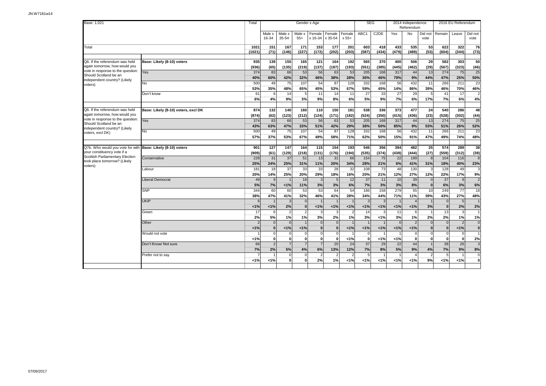| Base: 1,021                                                                                |                                     | Total          |                          |                 |                         | Gender x Age      |                   |                   |              | <b>SEG</b>        |                | 2014 Independence<br>Referendum |                    |                      | 2016 EU Referendum |                             |
|--------------------------------------------------------------------------------------------|-------------------------------------|----------------|--------------------------|-----------------|-------------------------|-------------------|-------------------|-------------------|--------------|-------------------|----------------|---------------------------------|--------------------|----------------------|--------------------|-----------------------------|
|                                                                                            |                                     |                | Male x<br>16-34          | Male x<br>35-54 | Male x<br>$55+$         | Female<br>x 16-34 | Female<br>x 35-54 | Female<br>$x 55+$ | ABC1         | C <sub>2</sub> DE | Yes            | No                              | Did not<br>vote    | Remain               | Leave              | Did not<br>vote             |
| Total                                                                                      |                                     | 1021<br>(1021) | $\overline{151}$<br>(71) | 167<br>(146)    | 171<br>(227)            | 153<br>(172)      | 177<br>(202)      | 201<br>(203)      | 603<br>(587) | 418<br>(434)      | 433<br>(479)   | 535<br>(489)                    | 53<br>(53)         | 622<br>(604)         | 322<br>(344)       | 76<br>(73)                  |
|                                                                                            |                                     |                |                          |                 |                         |                   |                   |                   |              |                   |                |                                 |                    |                      |                    |                             |
| Q6. If the referendum was held                                                             | Base: Likely (8-10) voters          | 935            | 139                      | 155             | 165                     | 121               | 164               | 192               | 565          | 370               | 400            | 506                             | 29                 | 582                  | 303                | 50                          |
| again tomorrow, how would you                                                              |                                     | (936)          | (65)                     | (135)           | (219)                   | (137)             | (187)             | (193)             | (551)        | (385)             | (445)          | (462)                           | (29)               | (567)                | (323)              | (46)                        |
| vote in response to the question:<br>Should Scotland be an                                 | Yes                                 | 374            | 83                       | 66              | 53                      | 56                | 63                | 53                | 205          | 168               | 317            | 44                              | 13                 | 274                  | 75                 | 25                          |
| independent country? (Likely                                                               |                                     | 40%            | 60%                      | 42%             | 32%                     | 46%               | 38%               | 28%               | 36%          | 46%               | 79%            | 9%                              | 44%                | 47%                  | 25%                | 50%                         |
| voters)                                                                                    | N <sub>o</sub>                      | 500            | 49                       | 75              | 107                     | 54                | 87                | 128               | 332          | 168               | 56             | 432                             | 11                 | 266                  | 211                | 23                          |
|                                                                                            |                                     | 53%<br>61      | 35%                      | 48%             | 65%                     | 45%               | 53%               | 67%               | 59%          | 45%               | 14%            | 86%                             | 39%                | 46%                  | 70%<br>17          | 46%                         |
|                                                                                            | Don't know                          | 6%             | 6<br>4%                  | 14<br>9%        | 5<br>3%                 | 11<br>9%          | 14<br>8%          | 11<br>6%          | 27<br>5%     | 33<br>9%          | 27<br>7%       | 29<br>6%                        | 5<br>17%           | 41<br>7%             | 6%                 | $\overline{2}$<br>4%        |
|                                                                                            |                                     |                |                          |                 |                         |                   |                   |                   |              |                   |                |                                 |                    |                      |                    |                             |
| Q6. If the referendum was held                                                             | Base: Likely (8-10) voters, excl DK | 874            | 132                      | 140             | 160                     | 110               | 150               | 181               | 538          | 336               | 373            | 477                             | 24                 | 540                  | 286                | 48                          |
| again tomorrow, how would you                                                              |                                     | (874)          | (62)                     | (123)           | (212)                   | (124)             | (171)             | (182)             | (524)        | (350)             | (415)          | (436)                           | (23)               | (528)                | (302)              | (44)                        |
| vote in response to the question:                                                          | Yes                                 | 374            | 83                       | 66              | 53                      | 56                | 63                | 53                | 205          | 168               | 317            | 44                              | 13                 | 274                  | 75                 | 25                          |
| Should Scotland be an<br>independent country? (Likely                                      |                                     | 43%            | 63%                      | 47%             | 33%                     | 51%               | 42%               | 29%               | 38%          | 50%               | 85%            | 9%                              | 53%                | 51%                  | 26%                | 52%                         |
| voters, excl DK)                                                                           | <b>No</b>                           | 500            | 49                       | 75              | 107                     | 54                | 87                | 128               | 332          | 168               | 56             | 432                             | 11                 | 266                  | 211                | 23                          |
|                                                                                            |                                     | 57%            | 37%                      | 53%             | 67%                     | 49%               | 58%               | 71%               | 62%          | 50%               | 15%            | 91%                             | 47%                | 49%                  | 74%                | 48%                         |
|                                                                                            |                                     |                |                          |                 |                         |                   |                   |                   |              |                   |                |                                 |                    |                      |                    |                             |
| Q7b. Who would you vote for with Base: Likely (8-10) voters<br>your constituency vote if a |                                     | 901            | 127                      | 147             | 164                     | 115               | 154               | 193               | 546          | 356               | 394            | 482                             | 25                 | 574                  | 289                | 38                          |
| Scottish Parliamentary Election                                                            | Conservative                        | (909)<br>228   | (61)<br>31               | (129)<br>37     | (218)<br>51             | (131)<br>13       | (176)<br>31       | (194)<br>66       | (535)<br>154 | (374)<br>75       | (438)<br>22    | (444)<br>199                    | (27)<br>8          | (559)<br>104         | (312)<br>116       | (38)<br>8                   |
| took place tomorrow? (Likely                                                               |                                     | 25%            | 24%                      | 25%             | 31%                     | 11%               | 20%               | 34%               | 28%          | 21%               | 6%             | 41%                             | 31%                | 18%                  | 40%                | 23%                         |
| voters)                                                                                    | Labour                              | 181            | 18                       | 37              | 33                      | 33                | 28                | 32                | 108          | 73                | 48             | 130                             | 3                  | 128                  | 49                 | 3                           |
|                                                                                            |                                     | 20%            | 14%                      | 25%             | 20%                     | 29%               | 18%               | 16%               | 20%          | 21%               | 12%            | 27%                             | 12%                | 22%                  | 17%                | 9%                          |
|                                                                                            | <b>Liberal Democrat</b>             | 49             | 9                        |                 | 18                      | 3                 | $\overline{5}$    | 12                | 37           | 11                | 10             | 39                              | $\Omega$           | 37                   | 9                  | $\overline{2}$              |
|                                                                                            |                                     | 5%             | 7%                       | 1%              | 11%                     | 3%                | 3%                | 6%                | 7%           | 3%                | 3%             | 8%                              | $\bf{0}$           | 6%                   | 3%                 | 6%                          |
|                                                                                            | <b>SNP</b>                          | 344            | 60                       | 60              | 53                      | 53                | 64                | 54                | 186          | 158               | 279            | 55                              | 10                 | 249                  | $\overline{77}$    | 18                          |
|                                                                                            |                                     | 38%            | 47%                      | 41%             | 32%                     | 46%               | 41%               | 28%               | 34%          | 44%               | 71%            | 11%                             | 39%                | 43%                  | 27%                | 48%                         |
|                                                                                            | <b>UKIP</b>                         |                |                          | 3               |                         |                   |                   |                   |              |                   |                |                                 |                    | $\mathbf{0}$         | $5\phantom{.0}$    | 1                           |
|                                                                                            |                                     | 1%             | 1%                       | 2%              | $\Omega$                | 1%                | 1%                | 1%                | 1%           | 1%                | 1%             | 1%                              | 3%                 | $\mathbf{0}$         | 2%                 | 2%                          |
|                                                                                            | Green                               | 17             | 6                        | $\overline{2}$  | $\overline{2}$          | 3                 | 3                 |                   | 14           | 3                 | 11             | 6                               |                    | 13                   | 3                  | $\vert$                     |
|                                                                                            | Other                               | 2%             | 5%<br>$\Omega$           | 1%<br>$\Omega$  | 1%                      | 3%<br>$\Omega$    | 2%<br>$\Omega$    | 1%                | 3%           | < 1%              | 3%<br>$\Omega$ | 1%<br>$\overline{2}$            | 2%<br>$\mathbf{0}$ | 2%<br>$\overline{0}$ | 1%<br>2            | 1%                          |
|                                                                                            |                                     | 1%             | $\mathbf{0}$             | 1%              | 1%                      | $\mathbf{0}$      | $\mathbf{0}$      | < 1%              | 1%           | 1%                | 1%             | $1\%$                           | $\bf{0}$           | $\mathbf{0}$         | 1%                 | $\mathbf 0$<br>$\mathbf{0}$ |
|                                                                                            | Would not vote                      |                | $\Omega$                 | $\Omega$        | $\overline{0}$          | $\Omega$          | $\Omega$          |                   | $\Omega$     |                   |                | $\mathbf 0$                     | $\Omega$           | $\mathbf 0$          | $\mathbf 0$        | $\vert$                     |
|                                                                                            |                                     | 1%             | $\bf{0}$                 | $\mathbf{0}$    | $\mathbf{0}$            | $\mathbf{0}$      | $\mathbf{0}$      | 1%                | $\mathbf{0}$ | 1%                | 1%             | $\mathbf 0$                     | $\bf{0}$           | $\mathbf{0}$         | 0                  | 2%                          |
|                                                                                            | Don't Know/ Not sure                | 66             | $\mathcal{P}$            | $\overline{7}$  |                         | $\overline{7}$    | 20                | 24                | 37           | 29                | 22             | 44                              |                    | 38                   | 26                 | ω                           |
|                                                                                            |                                     | 7%             | 2%                       | 5%              | 4%                      | 6%                | 13%               | 12%               | 7%           | 8%                | 5%             | 9%                              | 4%                 | 7%                   | 9%                 | 8%                          |
|                                                                                            | Prefer not to say                   |                |                          | $\mathbf 0$     | $\Omega$                |                   | $\overline{c}$    |                   | 5            |                   |                |                                 |                    | 5                    |                    | $\mathbf 0$                 |
|                                                                                            |                                     | 1%             | 1%                       | $\mathbf{0}$    | $\overline{\mathbf{0}}$ | 2%                | 1%                | < 1%              | 1%           | 1%                | 1%             | 1%                              | 9%                 | 1%                   | 1%                 | $\mathbf 0$                 |
|                                                                                            |                                     |                |                          |                 |                         |                   |                   |                   |              |                   |                |                                 |                    |                      |                    |                             |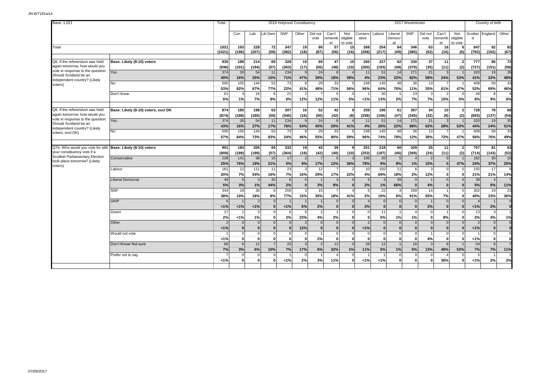| Base: 1,021                                                                                |                                     |                |                 |                |                |              | 2016 Holyrood Constituency |                       |                         |                            |                   |                |                         | 2017 Westminster |                 |                            |                            |                | Country of birth |            |
|--------------------------------------------------------------------------------------------|-------------------------------------|----------------|-----------------|----------------|----------------|--------------|----------------------------|-----------------------|-------------------------|----------------------------|-------------------|----------------|-------------------------|------------------|-----------------|----------------------------|----------------------------|----------------|------------------|------------|
|                                                                                            |                                     |                | Con             | Lab            | ib Dem         | SNP          | Other                      | Did not<br>vote       | Can't<br>rememb<br>er   | Not<br>eligible<br>to vote | Conservl<br>ative | Labour         | Liberal<br>Democr<br>at | SNP              | Did not<br>vote | Can't<br>rememb<br>er      | Not<br>eligible<br>to vote | Scotlan<br>d   | England          | Other      |
| Total                                                                                      |                                     | 1021<br>(1021) | 193<br>(196)    | 228<br>(207)   | 72<br>(59)     | 347<br>(382) | 19<br>(18)                 | <b>90</b><br>(87)     | 57<br>(56)              | 15 <sup>1</sup><br>(16)    | 268<br>(268)      | 254<br>(217)   | 64<br>(49)              | 346<br>(385)     | 63<br>(62)      | 16<br>(16)                 | (6)                        | 847<br>(792)   | 92<br>(162)      | 82<br>(67) |
|                                                                                            |                                     |                |                 |                |                |              |                            |                       |                         |                            |                   |                |                         |                  |                 |                            |                            |                |                  |            |
| Q6. If the referendum was held<br>again tomorrow, how would you                            | Base: Likely (8-10) voters          | 935<br>(936)   | 188<br>(191)    | 214<br>(194)   | 69<br>(57)     | 328<br>(363) | 19<br>(17)                 | 60<br>(56)            | 47<br>(48)              | 10<br>(10)                 | 260<br>(260)      | 227<br>(193)   | 62<br>(48)              | 330<br>(370)     | 37<br>(35)      | 11<br>(11)                 | (2)                        | 777<br>(727)   | 86<br>(151)      | 72<br>(58) |
| vote in response to the question:<br>Should Scotland be an<br>independent country? (Likely | Yes                                 | 374<br>40%     | 30<br>16%       | 54<br>25%      | 11<br>15%      | 234<br>71%   | 47%                        | 24<br>39%             | $\mathcal{B}$<br>18%    | 39%                        | 11<br>4%          | 51<br>23%      | 14<br>22%               | 271<br>82%       | 21<br>58%       | 24%                        | 53%                        | 320<br>41%     | 19<br>22%        | 35<br>48%  |
| voters)                                                                                    | No                                  | 500<br>53%     | 155<br>82%      | 144<br>67%     | 53<br>77%      | 73<br>22%    | -8<br>41%                  | 29<br>48%             | 33<br>71%               | 56%                        | 248<br>96%        | 145<br>64%     | 48<br>76%               | 36<br>11%        | 13<br>35%       | 61%                        | 47%                        | 408<br>52%     | 59<br>69%        | 33<br>46%  |
|                                                                                            | Don't know                          | 61<br>6%       | 3<br>1%         | 16<br>7%       | 6<br>8%        | 21<br>6%     | $\mathcal{D}$<br>12%       | 12%                   | 5<br>11%                | 5%                         | 1%                | 30<br>13%      | 2%                      | 23<br>7%         | 3<br>7%         | $\mathcal{P}$<br>15%       | 0%                         | 49<br>6%       | 8<br>9%          | 6%         |
|                                                                                            |                                     |                |                 |                |                |              |                            |                       |                         |                            |                   |                |                         |                  |                 |                            |                            |                |                  |            |
| Q6. If the referendum was held<br>again tomorrow, how would you                            | Base: Likely (8-10) voters, excl DK | 874<br>(874)   | 185<br>(188)    | 198<br>(180)   | 63<br>(50)     | 307<br>(340) | 16<br>(16)                 | 52<br>(50)            | 42 <sup>1</sup><br>(42) | 9<br>(8)                   | 259<br>(258)      | 196<br>(166)   | 61<br>(47)              | 307<br>(345)     | 34<br>(32)      | 10 <sup>1</sup><br>(9)     | $\overline{2}$<br>(2)      | 728<br>(683)   | 78<br>(137)      | 68<br>(54) |
| vote in response to the question:                                                          | Yes                                 | 374            | 30              | 54             | 11             | 234          | $\alpha$                   | 24                    | -8                      |                            | 11                | 51             | 14                      | 271              | 21              | 3                          |                            | 320            | 19               | 35         |
| Should Scotland be an<br>independent country? (Likely                                      |                                     | 43%            | 16%             | 27%            | 17%            | 76%          | 54%                        | 45%                   | 20%                     | 41%                        | 4%                | 26%            | 22%                     | 88%              | 62%             | 28%                        | 53%                        | 44%            | 24%              | 51%        |
| voters, excl DK)                                                                           | No                                  | 500            | 155             | 144            | 53             | 73           |                            | 29                    | 33                      |                            | 248               | 145            | 48                      | 36               | 13              |                            |                            | 408            | 59               | 33         |
|                                                                                            |                                     | 57%            | 84%             | 73%            | 83%            | 24%          | 46%                        | 55%                   | 80%                     | 59%                        | 96%               | 74%            | 78%                     | 12%              | 38%             | 72%                        | 47%                        | 56%            | 76%              | 49%        |
| Q7b. Who would you vote for with Base: Likely (8-10) voters                                |                                     | 901            | 184             | 206            | 69             | 332          | 19                         | 43 <sup>1</sup>       | 39                      | 9                          | 251               | 218            | 60                      | 329              | 25              | 11                         | $\overline{\phantom{a}}$   | 757            | 81               | 63         |
| vour constituency vote if a                                                                |                                     | (909)          | (189)           | (189)          | (57)           | (364)        | (18)                       | (42)                  | (40)                    | (10)                       | (253)             | (187)          | (46)                    | (369)            | (24)            | (11)                       | (2)                        | (714)          | (143)            | (52)       |
| <b>Scottish Parliamentary Election</b>                                                     | Conservative                        | 228            | 141             | 38             | 15             | 17           | $\mathcal{P}$              |                       | 5                       |                            | 196               | 20             | 5                       |                  |                 | $\Omega$                   |                            | 182            | 30               | 16         |
| took place tomorrow? (Likely<br>voters)                                                    |                                     | 25%            | 76%             | 19%            | 21%            | 5%           | 9%                         | 17%                   | 12%                     | 36%                        | 78%               | 9%             | 8%                      | 1%               | 10%             | 0                          | 47%                        | 24%            | 37%              | 25%        |
|                                                                                            | Labour                              | 181            | 12              | 111            | 11             | 23           | 3                          | 12                    | $\overline{7}$          |                            | 10                | 150            | 11                      | 6                | p               | $\Omega$                   |                            | 155            | 17               |            |
|                                                                                            |                                     | 20%            | 7%              | 54%            | 16%            | 7%           | 16%                        | 29%                   | 17%                     | 22%                        | 4%                | 69%            | 18%                     | 2%               | 12%             | 0                          |                            | 21%            | 21%              | 14%        |
|                                                                                            | Liberal Democrat                    | 49             | $5\overline{5}$ |                | 30             | 6            |                            |                       | 3                       |                            | $\overline{5}$    |                | 39                      | $\Omega$         |                 | $\Omega$                   |                            | 38             |                  |            |
|                                                                                            | <b>SNP</b>                          | 5%<br>344      | 3%<br>18        | 1%<br>36       | 44%<br>6       | 2%<br>255    | $\Omega$                   | 3%<br>15 <sup>1</sup> | 8%                      |                            | 2%<br>5           | 1%<br>22       | 66%                     | $\Omega$<br>299  | 4%<br>14        | $\bf{0}$<br>$\overline{1}$ | $\Omega$                   | 5%<br>302      | 5%<br>19         | 11%<br>23  |
|                                                                                            |                                     | 38%            | 10%             | 18%            | 8%             | 77%          | 15%                        | 35%                   | 18%                     | 41%                        | 2%                | 10%            | 6%                      | 91%              | 55%             | 7%                         | $\mathbf{r}$               | 40%            | 23%              | 36%        |
|                                                                                            | <b>UKIP</b>                         | 6              | $\overline{1}$  | $\overline{2}$ | $\overline{0}$ |              |                            |                       | $\Omega$                |                            | $\overline{4}$    | $\overline{0}$ | $\Omega$                | $\Omega$         |                 | $\Omega$                   | $\Omega$                   | $\overline{4}$ |                  |            |
|                                                                                            |                                     | 1%             | 1%              | 1%             | <sub>0</sub>   | 1%           | 6%                         | 2%                    | $\Omega$                |                            | 2%                | $\Omega$       |                         |                  | 2%              | $\Omega$                   |                            | 1%             | 2%               | $\sqrt{2}$ |
|                                                                                            | Green                               | 17             |                 | P.             | $\Omega$       | 6            | -5                         | $\overline{2}$        |                         |                            | $\Omega$          | 11             |                         |                  | ſ               |                            |                            | 13             |                  |            |
|                                                                                            |                                     | 2%             | 1%              | 1%             | 0l             | 2%           | 23%                        | 4%                    | 2%                      | n                          | 0                 | 5%             | 1%                      | 1%               | $\Omega$        | 8%                         | $\Omega$                   | 2%             | 4%               | 1%         |
|                                                                                            | Other                               | $\overline{2}$ | $\Omega$        | $\Omega$       | $\Omega$       |              | $\mathcal{P}$              | $\Omega$              | $\Omega$                |                            | $\overline{2}$    | $\Omega$       | $\Omega$                | $\Omega$         |                 | $\Omega$                   |                            | $\mathcal{P}$  | $\Omega$         | $\Omega$   |
|                                                                                            |                                     | 1%             | $\mathbf{0}$    | $\Omega$       | 0              |              | 12%                        | $\Omega$              | $\Omega$                |                            | 1%                | $\mathbf{0}$   |                         | $\Omega$         | $\mathbf{C}$    | $\bf{0}$                   |                            | 1%             | $\Omega$         | $\Omega$   |
|                                                                                            | Would not vote                      |                | $\Omega$        | $\Omega$       | $\Omega$       | $\Omega$     |                            |                       | $\Omega$                |                            | $\Omega$          | $\mathbf 0$    | $\Omega$                | $\Omega$         |                 | $\Omega$                   |                            |                | $\Omega$         | $\Omega$   |
|                                                                                            |                                     | 1%             | $\Omega$        | $\Omega$       | $\Omega$       | $\mathbf{r}$ | $\Omega$                   | 2%                    | $\Omega$                |                            | $\Omega$          | $\Omega$       | $\Omega$                | $\bf{0}$         | 4%              | $\Omega$                   |                            | < 1%           | ΩI               |            |
|                                                                                            | Don't Know/ Not sure                | 66             | $6 \mid$        | 12             |                | 23           |                            | $\overline{2}$        | 12                      |                            | 28                | 12             |                         | 16               | -3              |                            |                            | 54             | -61              |            |
|                                                                                            |                                     | 7%             | 3%              | 6%             | 10%            | 7%           | 17%                        | 6%                    | 32%                     | 1%                         | 11%               | 5%             | 1%                      | 5%               | 13%             | 49%                        | 53%                        | 7%             | 7%               | 11%        |
|                                                                                            | Prefer not to say                   | 7              | $\Omega$        | $\Omega$       | $\Omega$       |              | - 0                        |                       | $\Delta$                |                            |                   |                | $\Omega$                | $\Omega$         | ſ               |                            |                            | -5             |                  |            |
|                                                                                            |                                     | 1%             | $\mathbf{0}$    |                |                | 1%           | 2%                         | 3%                    | 11%                     |                            | 1%                | 1%             |                         | $\Omega$         | C               | 36%                        |                            | 1%             | 2%               | 2%         |
|                                                                                            |                                     |                |                 |                |                |              |                            |                       |                         |                            |                   |                |                         |                  |                 |                            |                            |                |                  |            |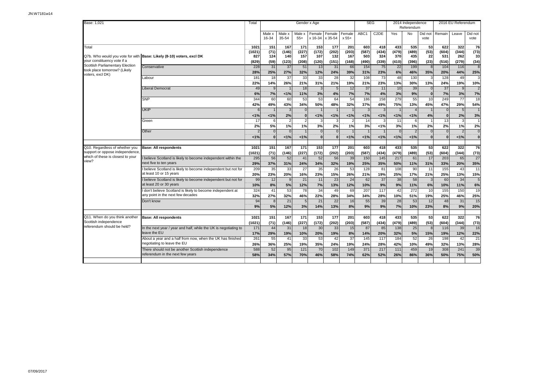| Base: 1,021                                                       |                                                                                           | Total          |                 |                      | Gender x Age               |                   |                   |                 |                  | <b>SEG</b>        |                 | 2014 Independence<br>Referendum |                 |                    | 2016 EU Referendum |                      |
|-------------------------------------------------------------------|-------------------------------------------------------------------------------------------|----------------|-----------------|----------------------|----------------------------|-------------------|-------------------|-----------------|------------------|-------------------|-----------------|---------------------------------|-----------------|--------------------|--------------------|----------------------|
|                                                                   |                                                                                           |                | Male x<br>16-34 | Male x<br>35-54      | Male x<br>$55+$            | Female<br>x 16-34 | Female<br>x 35-54 | Female<br>x 55+ | ABC1             | C <sub>2</sub> DE | Yes             | No                              | Did not<br>vote | Remain             | Leave              | Did not<br>vote      |
| Total                                                             |                                                                                           | 1021           | 151             | 167                  | 171                        | 153<br>(172)      | 177               | 201             | 603              | 418               | 433             | 535                             | 53<br>(53)      | 622                | 322<br>(344)       | 76                   |
|                                                                   | Q7b. Who would you vote for with Base: Likely (8-10) voters, excl DK                      | (1021)<br>827  | (71)<br>124     | (146)<br>140         | (227)<br>157               | 107               | (202)<br>132      | (203)<br>167    | (587)<br>503     | (434)<br>324      | (479)<br>370    | (489)<br>435                    | 22              | (604)<br>531       | 262                | (73)<br>33           |
| your constituency vote if a                                       |                                                                                           | (829)          | (59)            | (123)                | (208)                      | (120)             | (151)             | (168)           | (490)            | (339)             | (410)           | (396)                           | (23)            | (516)              | (279)              | (34)                 |
| Scottish Parliamentary Election<br>took place tomorrow? (Likely   | Conservative                                                                              | 228            | 31              | 37                   | 51                         | 13                | 31                | 66              | 154              | 75                | $\overline{22}$ | 199                             | $\mathbf{R}$    | 104                | 116                | 8                    |
| voters, excl DK)                                                  |                                                                                           | 28%            | 25%<br>18       | 27%<br>37            | 32%                        | 12%               | 24%               | 39%             | 31%<br>108       | 23%               | 6%              | 46%                             | 35%             | 20%                | 44%                | 25%<br>3             |
|                                                                   | Labour                                                                                    | 181<br>22%     | 14%             | 26%                  | 33<br>21%                  | 33<br>31%         | 28<br>21%         | 32<br>19%       | 21%              | 73<br>23%         | 48<br>13%       | 130<br>30%                      | 13%             | 128<br>24%         | 49<br>19%          | 10%                  |
|                                                                   | <b>Liberal Democrat</b>                                                                   | 49             | 9               |                      | 18                         | 3                 | 5                 | 12              | 37               | 11                | 10              | 39                              | $\Omega$        | 37                 | 9                  | $\overline{2}$       |
|                                                                   |                                                                                           | 6%             | 7%              | 1%                   | 11%                        | 3%                | 4%                | 7%              | 7%               | 4%                | 3%              | 9%                              | $\Omega$        | 7%                 | 3%                 | 7%                   |
|                                                                   | <b>SNP</b>                                                                                | 344            | 60              | 60                   | 53                         | 53                | 64                | 54              | 186              | 158               | 279             | 55                              | 10              | 249                | 77                 | 18                   |
|                                                                   |                                                                                           | 42%            | 49%             | 43%                  | 34%                        | 50%               | 48%               | 32%             | 37%              | 49%               | 75%             | 13%                             | 45%             | 47%                | 29%                | 54%                  |
|                                                                   | <b>UKIP</b>                                                                               | 6              |                 | 3                    | $\Omega$                   |                   |                   |                 | 3                | 3                 |                 | $\overline{4}$                  |                 | $\overline{0}$     | 5                  |                      |
|                                                                   | Green                                                                                     | 1%<br>17       | 1%<br>6         | 2%<br>$\overline{2}$ | $\Omega$<br>2 <sup>1</sup> | 1%                | 1%<br>3           | 1%              | 1%<br>14         | 1%                | 1%<br>11        | 1%<br>6                         | 4%              | $\mathbf{0}$<br>13 | 2%<br>3            | 3%<br>$\overline{1}$ |
|                                                                   |                                                                                           | 2%             | 5%              | 1%                   | 1%                         | 3%                | 2%                | 1%              | 3%               | 1%                | 3%              | 1%                              | 2%              | 2%                 | 1%                 | 2%                   |
|                                                                   | Other                                                                                     |                | $\Omega$        | $\Omega$             |                            | $\Omega$          | $\Omega$          |                 |                  |                   | $\Omega$        | $\overline{2}$                  | $\Omega$        | $\Omega$           | $\overline{2}$     | $\overline{0}$       |
|                                                                   |                                                                                           | 1%             | $\bf{0}$        | 1%                   | 1%                         | $\mathbf{0}$      | $\bf{0}$          | 1%              | 1%               | 1%                | 1%              | 1%                              | $\bf{0}$        | $\bf{0}$           | 1%                 | $\mathbf{0}$         |
|                                                                   |                                                                                           |                |                 |                      |                            |                   |                   |                 |                  |                   |                 |                                 |                 |                    |                    |                      |
| Q10. Regardless of whether you<br>support or oppose independence, | <b>Base: All respondents</b>                                                              | 1021<br>(1021) | 151<br>(71)     | 167<br>(146)         | 171<br>(227)               | 153<br>(172)      | 177<br>(202)      | 201<br>(203)    | 603<br>(587)     | 418<br>(434)      | 433<br>(479)    | 535<br>(489)                    | 53<br>(53)      | 622<br>(604)       | 322<br>(344)       | 76<br>(73)           |
| which of these is closest to your                                 | believe Scotland is likely to become independent within the                               | 295            | 56              | 52                   | 41                         | 52                | 56                | 39              | 150              | 145               | 217             | 61                              | 17              | 203                | 65                 | 27                   |
| view?                                                             | next five to ten years                                                                    | 29%            | 37%             | 31%                  | 24%                        | 34%               | 32%               | 19%             | 25%              | 35%               | 50%             | 11%                             | 31%             | 33%                | 20%                | 35%                  |
|                                                                   | I believe Scotland is likely to become independent but not for                            | 209            | 35              | 33                   | 27                         | 35                | 26                | 53              | 128              | 81                | 108             | 90                              | 11              | 155                | 43                 | 11                   |
|                                                                   | at least 10 or 15 years                                                                   | 20%            | 23%             | 20%                  | 16%                        | 23%               | 15%               | 26%             | 21%              | 19%               | 25%             | 17%                             | 21%             | 25%                | 13%                | 15%                  |
|                                                                   | I believe Scotland is likely to become independent but not for<br>at least 20 or 30 years | 99             | 12              | 9                    | 21                         | 11                | 23                | 24              | 62               | 37                | 38              | 58                              | 3               | 60                 | 34                 | $\overline{5}$       |
|                                                                   | I don't believe Scotland is likely to become independent at                               | 10%<br>324     | 8%<br>41        | 5%<br>53             | 12%<br>78                  | 7%<br>34          | 13%<br>49         | 12%<br>69       | 10%<br>207       | 9%<br>117         | 9%<br>42        | 11%<br>272                      | 6%<br>10        | 10%<br>155         | 11%<br>150         | 6%<br>19             |
|                                                                   | any point in the next few decades                                                         | 32%            | 27%             | 32%                  | 46%                        | 22%               | 28%               | 34%             | 34%              | 28%               | 10%             | 51%                             | 19%             | 25%                | 46%                | 25%                  |
|                                                                   | Don't know                                                                                | 94             | $\mathbf{8}$    | 21                   | 5                          | 21                | 22                | 16              | 55               | 39                | 28              | 53                              | 12              | 48                 | 31                 | 15                   |
|                                                                   |                                                                                           | 9%             | 5%              | 12%                  | 3%                         | 14%               | 13%               | 8%              | 9%               | 9%                | 7%              | 10%                             | 23%             | 8%                 | 9%                 | 20%                  |
|                                                                   |                                                                                           |                |                 |                      |                            |                   |                   |                 |                  |                   |                 |                                 |                 |                    |                    |                      |
| Q11. When do you think another<br>Scottish independence           | <b>Base: All respondents</b>                                                              | 1021           | 151             | 167                  | 171                        | 153               | 177               | 201             | 603              | 418               | 433             | 535                             | 53              | 622                | 322                | 76                   |
| referendum should be held?                                        | In the next year / year and half, while the UK is negotiating to                          | (1021)<br>171  | (71)<br>44      | (146)<br>31          | (227)<br>18                | (172)<br>30       | (202)<br>33       | (203)<br>15     | (587)<br>87      | (434)<br>85       | (479)<br>138    | (489)<br>25                     | (53)<br>8       | (604)<br>116       | (344)<br>39        | (73)<br>16           |
|                                                                   | leave the EU                                                                              | 17%            | 29%             | 19%                  | 10%                        | 20%               | 19%               | 8%              | 14%              | 20%               | 32%             | 5%                              | 15%             | 19%                | 12%                | 22%                  |
|                                                                   | About a year and a half from now, when the UK has finished                                | 261            | 55              | 41                   | 33                         | 53                | 42                | $\overline{37}$ | $\overline{145}$ | 117               | 184             | 52                              | 26              | 198                | 42                 | $\overline{21}$      |
|                                                                   | negotiating to leave the EU                                                               | 26%<br>588     | 36%             | 25%                  | 19%                        | 35%               | 24%               | 19%             | 24%              | 28%               | 42%             | 10%                             | 49%             | 32%                | 13%                | 28%                  |
|                                                                   | There should not be another Scottish independence<br>referendum in the next few years     |                | 52              | 95                   | 121                        | 70                | 102               | 149             | 371              | 217               | 111             | 459                             | 19              | 308                | 241                | 39                   |
|                                                                   |                                                                                           | 58%            | 34%             | 57%                  | 70%                        | 46%               | 58%               | 74%             | 62%              | 52%               | 26%             | 86%                             | 36%             | 50%                | 75%                | 50%                  |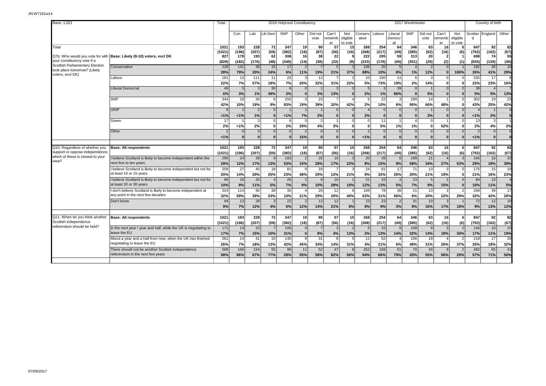| Base: 1,021                                                                         |                                                                                                  |                      |                |                 |                |                 | 2016 Holyrood Constituency |                     |                            |                            |                       |                       |                             | 2017 Westminster |                            |                       |                                |              | Country of birth         |                      |
|-------------------------------------------------------------------------------------|--------------------------------------------------------------------------------------------------|----------------------|----------------|-----------------|----------------|-----------------|----------------------------|---------------------|----------------------------|----------------------------|-----------------------|-----------------------|-----------------------------|------------------|----------------------------|-----------------------|--------------------------------|--------------|--------------------------|----------------------|
|                                                                                     |                                                                                                  |                      | Con            | Lab             | Lib Dem        | <b>SNP</b>      | Other                      | Did not<br>vote     | Can't<br>rememb<br>er      | Not<br>eligible<br>to vote | conserv<br>ative      | Labour                | Liberal<br>Democr<br>at     | <b>SNP</b>       | Did not<br>vote            | Can't<br>rememb<br>er | Not<br>eligible<br>to vote     | d            | Scotlan England          | Other                |
| Total                                                                               |                                                                                                  | 1021<br>(1021)       | 193<br>(196)   | 228<br>(207)    | 72<br>(59)     | 347<br>(382)    | 19<br>(18)                 | 90<br>(87)          | 57<br>(56)                 | 15<br>(16)                 | 268<br>(268)          | 254<br>(217)          | 64<br>(49)                  | 346<br>(385)     | 63<br>(62)                 | 16<br>(16)            | 6<br>(6)                       | 847<br>(792) | 92 <br>(162)             | 82<br>(67)           |
| your constituency vote if a                                                         | Q7b. Who would you vote for with Base: Likely (8-10) voters, excl DK                             | 827<br>(829)         | 178<br>(182)   | 193<br>(176)    | 62<br>(48)     | 308<br>(340)    | 16<br>(14)                 | 38<br>(38)          | 22<br>(22)                 | (9)                        | 222<br>(223)          | 205<br>(176)          | 59<br>(45)                  | 313<br>(351)     | 20<br>(20)                 | 2<br>(2)              | $\overline{\mathbf{1}}$<br>(1) | 698<br>(655) | 74<br>(129)              | 55<br>(45)           |
| Scottish Parliamentary Election<br>took place tomorrow? (Likely<br>voters, excl DK) | Conservative                                                                                     | 228<br>28%           | 141<br>79%     | 38<br>20%       | 15<br>24%      | 17<br>6%        | 11%                        | 19%                 | 21%                        | 37%                        | 196<br>88%            | 20<br>10%             | $5\overline{5}$<br>8%       | 1%               | $\overline{2}$<br>12%      | $\Omega$              | 100%                           | 182<br>26%   | 30<br>41%                | 16<br>29%            |
|                                                                                     | Labour                                                                                           | 181<br>22%           | 12<br>7%       | 111<br>57%      | 11<br>18%      | 23<br>7%        | 20%                        | 12<br>32%           | 31%                        | 22%                        | 10<br>5%              | 150<br>73%            | 11<br>19%                   | 6<br>2%          | 3<br>14%                   | $\Omega$              |                                | 155<br>22%   | $\overline{17}$<br>23%   | Q<br>16%             |
|                                                                                     | <b>Liberal Democrat</b>                                                                          | 49<br>6%             | 3%             | 1%              | 30<br>49%<br>6 | 6<br>2%         | $\Omega$                   | 3%                  | 13%                        |                            | 5<br>2%<br>5          | 3<br>1%               | 39<br>66%                   | $\Omega$         | 5%                         | $\Omega$<br>$\Omega$  |                                | 38<br>5%     | 5%                       | 13%                  |
|                                                                                     | <b>SNP</b><br><b>UKIP</b>                                                                        | 344<br>42%<br>6      | 18<br>10%      | 36<br>19%       | 9%<br>$\Omega$ | 255<br>83%      | 19%                        | 15<br>39%           | $\overline{7}$<br>32%      | 42%                        | 2%                    | 22<br>10%<br>$\Omega$ | 3<br>6%<br>$\Omega$         | 299<br>95%       | 14<br>66%                  | 48%                   | $\Omega$                       | 302<br>43%   | 19<br>25%                | 23<br>42%            |
|                                                                                     | Green                                                                                            | 1%<br>17             | 1%             | 1%              | $\mathbf{0}$   | 1%<br>-6        | 7%                         | 2%<br>$\mathcal{P}$ | $\Omega$<br>$\overline{1}$ |                            | 2%<br>$\Omega$        | $\Omega$<br>11        | $\bf{0}$                    | $\Omega$         | 3%<br>$\Omega$             | $\Omega$              | $\Omega$                       | 1%<br>13     | 2%<br>$\mathcal{R}$      | $\mathbf{0}$         |
|                                                                                     | Other                                                                                            | 2%<br>$\overline{2}$ | 1%<br>$\Omega$ | 2%<br>$\Omega$  | 0<br>$\Omega$  | 2%              | 29%                        | 4%<br>$\Omega$      | 3%<br>$\overline{0}$       |                            | C<br>$\overline{2}$   | 5%<br>$\Omega$        | 1%<br>$\Omega$              | 1%<br>$\Omega$   | $\Omega$<br>$\overline{0}$ | 52%<br>$\Omega$       |                                | 2%<br>2      | 4%<br>$\Omega$           | 2%<br>$\overline{0}$ |
|                                                                                     |                                                                                                  | 1%                   | $\Omega$       |                 | $\Omega$       | £               | 15%                        | $\Omega$            | $\Omega$                   |                            | 1%                    | $\Omega$              | $\Omega$                    | $\Omega$         | $\Omega$                   | $\Omega$              | C                              | 1%           | 0                        | $\Omega$             |
| Q10. Regardless of whether you<br>support or oppose independence                    | <b>Base: All respondents</b>                                                                     | 1021<br>(1021)       | 193<br>(196)   | 228<br>(207)    | 72<br>(59)     | 347<br>(382)    | 19<br>(18)                 | 90l<br>(87)         | 57<br>(56)                 | 15<br>(16)                 | 268<br>(268)          | 254<br>(217)          | 64<br>(49)                  | 346<br>(385)     | 63<br>(62)                 | 16<br>(16)            | -6<br>(6)                      | 847<br>(792) | 92 <sub>l</sub><br>(162) | 82<br>(67)           |
| which of these is closest to your<br>view?                                          | I believe Scotland is likely to become independent within the<br>next five to ten years          | 295<br>29%           | 24<br>12%      | 39<br>17%       | 13%            | 183<br>53%      | 10%                        | 25<br>28%           | 10<br>17%                  | 22%                        | 20<br>8%              | 39<br>15%             | 6<br>9%                     | 199<br>58%       | 21<br>34%                  | 27%                   | 53%                            | 246<br>29%   | 16<br>18%                | 32<br>39%            |
|                                                                                     | I believe Scotland is likely to become independent but not for<br>at least 10 or 15 years        | 209<br>20%           | 27<br>14%      | 45<br>20%       | 18<br>25%      | 81<br>23%       | 48%                        | 18<br>20%           | $\overline{7}$<br>12%      | 21%                        | 24<br>9%              | 81<br>32%             | 17<br>26%                   | 71<br>20%        | 13<br>21%                  | 19%                   |                                | 176<br>21%   | 15<br>16%                | 19<br>23%            |
|                                                                                     | I believe Scotland is likely to become independent but not for<br>at least 20 or 30 years        | 99<br>10%            | 16<br>8%       | 26<br>11%       | 5%             | 26<br>7%        | 9%                         | 10%                 | 16<br>28%                  | 10%                        | 31<br>12%             | 33<br>13%             | 3<br>5%                     | 23<br>7%         | .5<br>9%                   | 15%                   | $\Omega$                       | 84<br>10%    | 10<br>11%                | 5%                   |
|                                                                                     | I don't believe Scotland is likely to become independent at<br>any point in the next few decades | 324<br>32%           | 114<br>59%     | 90<br>39%<br>28 | 38<br>53%<br>3 | 35<br>10%<br>22 | 21%                        | 26<br>29%<br>12     | 12<br>20%<br>12            | 40%                        | 169<br>63%<br>23      | 78<br>31%<br>23       | 36<br>56%<br>$\overline{2}$ | 21<br>6%<br>31   | 13<br>20%<br>10            | 22%                   | 29%                            | 268<br>32%   | 39<br>42%<br>12          | 17<br>20%<br>10      |
|                                                                                     | Don't know                                                                                       | 94<br>9%             | 13<br>7%       | 12%             | 4%             | 6%              | 12%                        | 14%                 | 21%                        | 8%                         | 9%                    | 9%                    | 3%                          | 9%               | 16%                        | 17%                   | 18%                            | 72<br>9%     | 13%                      | 12%                  |
| Q11. When do you think another<br>Scottish independence                             | <b>Base: All respondents</b>                                                                     | 1021<br>(1021)       | 193<br>(196)   | 228<br>(207)    | 72<br>(59)     | 347<br>(382)    | 19<br>(18)                 | 90<br>(87)          | 57<br>(56)                 | 15<br>(16)                 | 268<br>(268)          | 254<br>(217)          | 64<br>(49)                  | 346<br>(385)     | 63<br>(62)                 | 16<br>(16)            | -6<br>(6)                      | 847<br>(792) | 92 <br>(162)             | 82<br>(67)           |
| referendum should be held?                                                          | In the next year / year and half, while the UK is negotiating to<br>leave the EU                 | 171<br>17%           | 14<br>7%       | 33<br>15%       | 10%            | 106<br>31%      | $\Omega$<br>$\Omega$       | 8%                  | $\overline{3}$<br>4%       | 13%                        | $\overline{5}$<br>2%  | 33<br>13%             | $\vert$ 9<br>14%            | 109<br>32%       | -9<br>14%                  | 3<br>18%              | $\tilde{z}$<br>34%             | 146<br>17%   | 10 <sup>1</sup><br>11%   | 15<br>19%            |
|                                                                                     | About a year and a half from now, when the UK has finished<br>negotiating to leave the EU        | 261<br>26%           | 14<br>7%       | 41<br>18%       | 10<br>13%      | 145<br>42%      | $\mathbf{Q}$<br>45%        | 31<br>34%           | 8<br>14%                   | 31%                        | $\overline{11}$<br>4% | 52<br>21%             | $\overline{4}$<br>6%        | 166<br>48%       | 19<br>31%                  | 26%                   | 37%                            | 218<br>26%   | 17<br>18%                | 26<br>32%            |
|                                                                                     | There should not be another Scottish independence<br>referendum in the next few years            | 588<br>58%           | 166<br>86%     | 154<br>67%      | 55<br>77%      | 96<br>28%       | 11<br>55%                  | 52<br>58%           | 47<br>82%                  | 56%                        | 252<br>94%            | 169<br>66%            | 51<br>79%                   | 70<br>20%        | 34<br>55%                  | 56%                   | 29%                            | 482<br>57%   | 65<br>71%                | 41<br>50%            |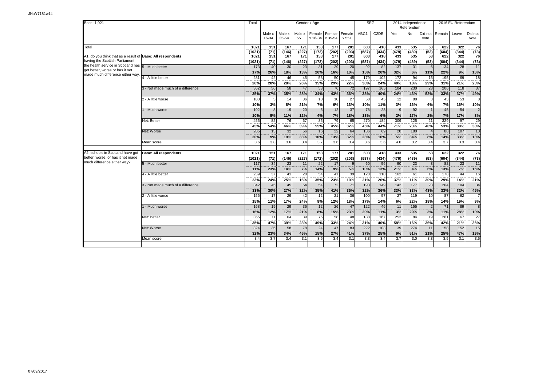| Base: 1,021                                                           |                                   |                  |                 |                 |                 | Gender x Age   |                           |                 | <b>SEG</b>      |                   |                  | 2014 Independence<br>Referendum |                      |                  | 2016 EU Referendum |                 |
|-----------------------------------------------------------------------|-----------------------------------|------------------|-----------------|-----------------|-----------------|----------------|---------------------------|-----------------|-----------------|-------------------|------------------|---------------------------------|----------------------|------------------|--------------------|-----------------|
|                                                                       |                                   |                  | Male x<br>16-34 | Male x<br>35-54 | Male x<br>$55+$ | Female         | Female<br>x 16-34 x 35-54 | Female<br>x 55+ | ABC1            | C <sub>2</sub> DE | Yes              | No                              | Did not<br>vote      | Remain           | Leave              | Did not<br>vote |
| Total                                                                 |                                   | 1021             | 151             | 167             | 171             | 153            | 177                       | 201             | 603             | 418               | 433              | 535                             | 53                   | 622              | 322                | 76              |
| A1. do you think that as a result of Base: All respondents            |                                   | (1021)           | (71)<br>151     | (146)<br>167    | (227)<br>171    | (172)<br>153   | (202)<br>177              | (203)           | (587)<br>603    | (434)<br>418      | (479)<br>433     | (489)<br>535                    | (53)<br>53           | (604)<br>622     | (344)<br>322       | (73)<br>76      |
| having the Scottish Parliament                                        |                                   | 1021<br>(1021)   | (71)            | (146)           | (227)           | (172)          | (202)                     | 201<br>(203)    | (587)           | (434)             | (479)            | (489)                           | (53)                 | (604)            | (344)              |                 |
| the health service in Scotland has 5 - Much better                    |                                   | 173              | 40              | 30              | 23              | 31             | 29                        | 20              | 92              | 82                | 137              | 31                              | 6                    | 134              | 28                 | (73)<br>11      |
| got better, worse or has it not                                       |                                   | 17%              | 26%             | 18%             | 13%             | 20%            | 16%                       | 10%             | 15%             | 20%               | 32%              | 6%                              | 11%                  | 22%              | 9%                 | 15%             |
| made much difference either way.                                      | 4 - A little better               | 281              | 42              | 46              | 45              | 53             | 50                        | 45              | 179             | 102               | $\overline{172}$ | 94                              | 15                   | 195              | 69                 | 18              |
|                                                                       |                                   | 28%              | 28%             | 28%             | 26%             | 35%            | 29%                       | 22%             | 30%             | 24%               | 40%              | 18%                             | 29%                  | 31%              | 21%                | 23%             |
|                                                                       | 3 - Not made much of a difference | 362              | 56              | 58              | 47              | 53             | 76                        | 72              | 197             | 165               | 104              | 230                             | 28                   | 206              | 118                | 37              |
|                                                                       |                                   | 35%              | 37%             | 35%             | 28%             | 34%            | 43%                       | 36%             | 33%             | 40%               | 24%              | 43%                             | 52%                  | 33%              | 37%                | 49%             |
|                                                                       | 2 - A little worse                | 103              | 5               | 14              | 36              | 10             | 10                        | 27              | 58              | 45                | 12               | 88                              | 3                    | 43               | 53                 | 8               |
|                                                                       |                                   | 10%              | 3%              | 8%              | 21%             | 7%             | 6%                        | 13%             | 10%             | 11%               | 3%               | 16%                             | 6%                   | 7%               | 16%                | 10%             |
|                                                                       | 1 - Much worse                    | 102              | 8               | 19              | 20              | 5 <sub>l</sub> | 12                        | 37              | 78              | 23                | 9                | 92                              | $\overline{1}$       | 45               | 54                 | $\overline{2}$  |
|                                                                       |                                   | 10%              | 5%              | 11%             | 12%             | 4%             | 7%                        | 18%             | 13%             | 6%                | 2%               | 17%                             | 2%                   | 7%               | 17%                | 3%              |
|                                                                       | Net: Better                       | 455              | 82              | 76              | 67              | 85             | 79                        | 65              | 270             | 184               | 309              | 125                             | 21                   | 329              | 97                 | 29              |
|                                                                       |                                   | 45%              | 54%             | 46%             | 39%             | 55%            | 45%                       | 32%             | 45%             | 44%               | 71%              | 23%                             | 40%                  | 53%              | 30%                | 38%             |
|                                                                       | Net: Worse                        | $\overline{205}$ | 13              | $\overline{32}$ | $\overline{56}$ | 16             | $\overline{22}$           | 64              | $\frac{136}{ }$ | 69                | $\overline{20}$  | 180                             |                      | 88               | 107                | $\overline{10}$ |
|                                                                       |                                   | 20%              | 9%              | 19%             | 33%             | 10%            | 13%                       | 32%             | 23%             | 16%               | 5%               | 34%                             | 8%                   | 14%              | 33%                | 13%             |
|                                                                       | Mean score                        | 3.6              | 3.8             | 3.6             | 3.4             | 3.7            | 3.6                       | 3.4             | 3.6             | 3.6               | 4.0              | 3.2                             | 3.4                  | 3.7              | 3.3                | 3.4             |
|                                                                       |                                   |                  |                 |                 |                 |                |                           |                 |                 |                   |                  |                                 |                      |                  |                    |                 |
| A2. schools in Scotland have got<br>better, worse, or has it not made | <b>Base: All respondents</b>      | 1021             | 151             | 167             | 171             | 153            | 177                       | 201             | 603             | 418               | 433              | 535                             | 53                   | 622              | 322                | 76              |
| much difference either way?                                           | 5 - Much better                   | (1021)<br>117    | (71)<br>34      | (146)<br>23     | (227)<br>11     | (172)<br>22    | (202)<br>17               | (203)           | (587)<br>60     | (434)<br>56       | (479)<br>90      | (489)<br>23                     | (53)<br>$\mathbf{3}$ | (604)<br>82      | (344)<br>23        | (73)<br>11      |
|                                                                       |                                   | 11%              | 23%             | 14%             | 7%              | 14%            | 9%                        | 5%              | 10%             | 13%               | 21%              | 4%                              | 6%                   | 13%              | 7%                 | 15%             |
|                                                                       | 4 - A little better               | 239              | 37              | 41              | 28              | 54             | 41                        | 39              | 128             | 110               | 162              | 61                              | 16                   | 178              | 44                 | 16              |
|                                                                       |                                   | 23%              | 24%             | 25%             | 16%             | 35%            | 23%                       | 19%             | 21%             | 26%               | 37%              | 11%                             | 30%                  | 29%              | 14%                | 21%             |
|                                                                       | 3 - Not made much of a difference | 342              | 45              | 45              | 54              | 54             | 72                        | 71              | 193             | 149               | $\overline{142}$ | 177                             | 23                   | 204              | 104                | 34              |
|                                                                       |                                   | 33%              | 30%             | 27%             | 32%             | 35%            | 41%                       | 35%             | 32%             | 36%               | 33%              | 33%                             | 43%                  | 33%              | 32%                | 45%             |
|                                                                       | 2 - A little worse                | 156              | 17              | 29              | 42              | 12             | 21                        | 36              | 100             | 57                | $\overline{27}$  | 119                             | 10                   | 87               | 62                 | $\overline{7}$  |
|                                                                       |                                   | 15%              | 11%             | 17%             | 24%             | 8%             | 12%                       | 18%             | 17%             | 14%               | 6%               | 22%                             | 18%                  | 14%              | 19%                | 9%              |
|                                                                       | 1 - Much worse                    | 168              | 19              | 29              | 36              | 12             | 26                        | 47              | 122             | 46                | 11               | 155                             | $\overline{2}$       | 71               | 89                 | 8               |
|                                                                       |                                   | 16%              | 12%             | 17%             | 21%             | 8%             | 15%                       | 23%             | 20%             | 11%               | 3%               | 29%                             | 3%                   | 11%              | 28%                | 10%             |
|                                                                       | Net: Better                       | 355              | 71              | 64              | 39              | 75             | 58                        | 48              | 188             | 167               | 252              | 84                              | 19                   | 261              | 67                 | 27              |
|                                                                       |                                   | 35%              | 47%             | 39%             | 23%             | 49%            | 33%                       | 24%             | 31%             | 40%               | 58%              | 16%                             | 36%                  | 42%              | 21%                | 36%             |
|                                                                       | Net: Worse                        | 324              | 35              | 58              | 78              | 24             | 47                        | 83              | 222             | 103               | 39               | 274                             | 11                   | 158              | 152                | 15              |
|                                                                       |                                   | 32%              | 23%             | 34%             | 45%             | 15%            | 27%                       | 41%             | 37%             | 25%               | 9%               | 51%                             | 21%                  | 25%              | 47%                | 19%             |
|                                                                       | Mean score                        | 3.4              | 3.7             | 3.4             | 3.1             | 3.6            | 3.4                       | 3.1             | 3.3             | 3.4               | $\overline{3.7}$ | 3.0                             | 3.3                  | $\overline{3.5}$ | 3.1                | 3.5             |
|                                                                       |                                   |                  |                 |                 |                 |                |                           |                 |                 |                   |                  |                                 |                      |                  |                    |                 |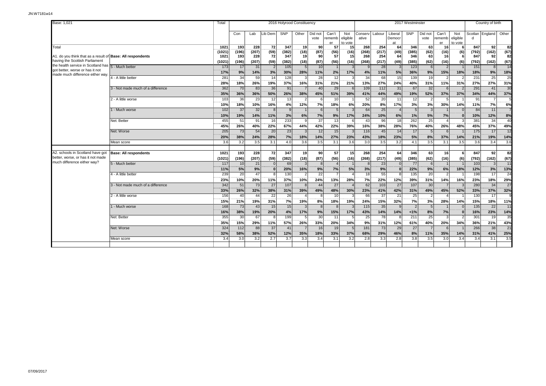| Base: 1.021                                                           |                                   | Total          |              |              |                | 2016 Holyrood Constituency |               |                         |                       |                            |                   |              |                         | 2017 Westminster |                 |                       |                            |              | Country of birth |            |
|-----------------------------------------------------------------------|-----------------------------------|----------------|--------------|--------------|----------------|----------------------------|---------------|-------------------------|-----------------------|----------------------------|-------------------|--------------|-------------------------|------------------|-----------------|-----------------------|----------------------------|--------------|------------------|------------|
|                                                                       |                                   |                | Con          | Lab          | Lib Dem        | <b>SNP</b>                 | Other         | Did not<br>vote         | Can't<br>rememb<br>er | Not<br>eligible<br>to vote | Conservl<br>ative | Labour       | Liberal<br>Democr<br>at | SNP              | Did not<br>vote | Can't<br>rememb<br>er | Not<br>eligible<br>to vote | d            | Scotlan England  | Other      |
| Total                                                                 |                                   | 1021           | 193          | 228          | 72             | 347                        | 19            | 90                      | 57                    | 15                         | 268               | 254          | 64                      | 346              | 63              | 16                    |                            | 847          | 92               | 82         |
| A1. do you think that as a result of Base: All respondents            |                                   | (1021)<br>1021 | (196)<br>193 | (207)<br>228 | (59)<br>72     | (382)<br>347               | (18)<br>19    | (87)<br>90 <sub>0</sub> | (56)<br>57            | (16)<br>15                 | (268)<br>268      | (217)<br>254 | (49)<br>64              | (385)<br>346     | (62)<br>63      | (16)<br>16            | (6)<br>6                   | (792)<br>847 | (162)<br>92      | (67)<br>82 |
| having the Scottish Parliament                                        |                                   | (1021)         | (196)        | (207)        | (59)           | (382)                      | (18)          | (87)                    | (56)                  | (16)                       | (268)             | (217)        | (49)                    | (385)            | (62)            | (16)                  | (6)                        | (792)        | (162)            | (67)       |
| the health service in Scotland has 5 - Much better                    |                                   | 173            | 17           | 31           | $\overline{2}$ | 105                        | 5             | 10                      |                       |                            |                   | 28           | $\vert$ 3               | 123              | 6               | $\overline{2}$        |                            | 151          | -81              | 14         |
| got better, worse or has it not                                       |                                   | 17%            | 9%           | 14%          | 3%             | 30%                        | 28%           | 11%                     | 2%                    | 17%                        | 4%                | 11%          | 5%                      | 36%              | 9%              | 15%                   | 18%                        | 18%          | 9%               | 18%        |
| made much difference either way                                       | 4 - A little better               | 281            | 34           | 59           | 14             | 128                        |               | 28                      | 12                    |                            | 34                | 68           | 15                      | 139              | 19              |                       |                            | 231          | 25               | 25         |
|                                                                       |                                   | 28%            | 18%          | 26%          | 19%            | 37%                        | 16%           | 31%                     | 21%                   | 21%                        | 13%               | 27%          | 24%                     | 40%              | 31%             | 11%                   | 31%                        | 27%          | 27%              | 31%        |
|                                                                       | 3 - Not made much of a difference | 362            | 70           | 83           | 36             | 91                         |               | 40                      | 29                    |                            | 109               | 112          | 31                      | 67               | 32              |                       |                            | 291          | 41               | 30         |
|                                                                       |                                   | 35%            | 36%          | 36%          | 50%            | 26%                        | 38%           | 45%                     | 51%                   | 39%                        | 41%               | 44%          | 49%                     | 19%              | 52%             | 37%                   | 37%                        | 34%          | 44%              | 37%        |
|                                                                       | 2 - A little worse                | 103            | 36           | 23           | 12             | 13                         |               |                         | 10                    |                            | 52                | 20           | 11                      | 12               | $\overline{2}$  |                       |                            | 91           |                  |            |
|                                                                       |                                   | 10%            | 18%          | 10%          | 16%            | 4%                         | 12%           | 7%                      | 18%                   | 6%                         | 20%               | 8%           | 17%                     | 3%               | 3%              | 30%                   | 14%                        | 11%          | 7%               | 6%         |
|                                                                       | 1 - Much worse                    | 102            | 37           | 32           | 8              | $\mathfrak{c}$             |               |                         | 5                     |                            | 64                | 25           | $\overline{A}$          |                  | $\mathbf{3}$    |                       |                            | 84           | 11               |            |
|                                                                       |                                   | 10%            | 19%          | 14%          | 11%            | 3%                         | 6%            | 7%                      | 9%                    | 17%                        | 24%               | 10%          | 6%                      | 1%               | 5%              | 7%                    |                            | 10%          | 12%              | 8%         |
|                                                                       | Net: Better                       | 455            | 51           | 91           | 16             | 233                        | 9             | 37                      | 13                    |                            | 43                | 96           | 18                      | 262              | 25              |                       |                            | 381          | 34               | 40         |
|                                                                       |                                   | 45%            | 26%          | 40%          | 22%            | 67%                        | 44%           | 42%                     | 22%                   | 39%                        | 16%               | 38%          | 28%                     | 76%              | 40%             | 26%                   | 48%                        | 45%          | 37%              | 49%        |
|                                                                       | Net: Worse                        | 205            | 73           | 54           | 20             | 23                         |               | 12                      | 15                    |                            | 116               | 45           | 14                      | 17               | -5              |                       |                            | 175          | 17               | 12         |
|                                                                       |                                   | 20%            | 38%          | 24%          | 28%            | 7%                         | 18%           | 14%                     | 27%                   | 23%                        | 43%               | 18%          | 23%                     | 5%               | 8%              | 37%                   | 14%                        | 21%          | 19%              | 14%        |
|                                                                       | Mean score                        | 3.6            | 3.2          | 3.5          | 3.1            | 4.0                        | 3.6           | 3.5                     | 3.1                   | 3.6                        | 3.0               | 3.5          | 3.2                     | 4.1              | 3.5             | 3.1                   | 3.5                        | 3.6          | 3.4              | 3.6        |
|                                                                       |                                   |                |              |              |                |                            |               |                         |                       |                            |                   |              |                         |                  |                 |                       |                            |              |                  |            |
| A2. schools in Scotland have got<br>better, worse, or has it not made | <b>Base: All respondents</b>      | 1021           | 193<br>(196) | 228<br>(207) | 72<br>(59)     | 347<br>(382)               | 19<br>(18)    | 90 <sub>l</sub><br>(87) | 57<br>(56)            | 15<br>(16)                 | 268<br>(268)      | 254<br>(217) | 64<br>(49)              | 346<br>(385)     | 63<br>(62)      | 16<br>(16)            | - 6                        | 847<br>(792) | 92<br>(162)      | 82<br>(67) |
| much difference either way?                                           | 5 - Much better                   | (1021)<br>117  | 10           | 21           | $\mathbf{0}$   | 69                         |               | 8                       |                       |                            |                   | 23           | $\Omega$                | 77               | 6               |                       | (6)                        | 103          | $\overline{3}$   | 11         |
|                                                                       |                                   | 11%            | 5%           | 9%           | $\mathbf{0}$   | 20%                        | 16%           | 9%                      | 7%                    | 5%                         | 3%                | 9%           | $\bf{0}$                | 22%              | 9%              | 6%                    | 18%                        | 12%          | 3%               | 13%        |
|                                                                       | 4 - A little better               | 239            | 20           | 47           |                | 130                        |               | 22                      | $\overline{7}$        |                            | 18                | 55           |                         | 135              | 20              |                       |                            | 198          | 17               | 24         |
|                                                                       |                                   | 23%            | 10%          | 20%          | 11%            | 37%                        | 10%           | 24%                     | 13%                   | 28%                        | 7%                | 22%          | 12%                     | 39%              | 31%             | 14%                   | 16%                        | 23%          | 18%              | 29%        |
|                                                                       | 3 - Not made much of a difference | 342            | 51           | 73           | 27             | 107                        | $\mathcal{B}$ | 44                      | 27                    |                            | 62                | 103          | 27                      | 107              | 30              |                       |                            | 280          | 34               | 27         |
|                                                                       |                                   | 33%            | 26%          | 32%          | 38%            | 31%                        | 39%           | 49%                     | 48%                   | 30%                        | 23%               | 41%          | 42%                     | 31%              | 49%             | 45%                   | 52%                        | 33%          | 37%              | 32%        |
|                                                                       | 2 - A little worse                | 156            | 40           | 44           | 22             | 26                         |               | 8                       | 10                    |                            | 66                | 37           | 21                      | 25               | $\overline{2}$  |                       |                            | 130          | 17               | ۵          |
|                                                                       |                                   | 15%            | 21%          | 19%          | 31%            | 7%                         | 19%           | 8%                      | 18%                   | 19%                        | 24%               | 15%          | 32%                     | 7%               | 3%              | 28%                   | 14%                        | 15%          | 18%              | 11%        |
|                                                                       | 1 - Much worse                    | 168            | 73           | 43           | 15             | 15                         | 3             |                         | $\mathbf{R}$          |                            | 115               | 35           | $\mathbf{q}$            | $\mathcal{P}$    | 5               |                       |                            | 135          | 22               | 11         |
|                                                                       |                                   | 16%            | 38%          | 19%          | 20%            | 4%                         | 17%           | 9%                      | 15%                   | 17%                        | 43%               | 14%          | 14%                     | 1%               | 8%              | 7%                    |                            | 16%          | 23%              | 14%        |
|                                                                       | Net: Better                       | 355            | 30           | 67           | 8              | 199                        | -5            | 30                      | 11                    |                            | 25                | 78           | 8                       | 211              | 25              | 3                     |                            | 301          | 19               | 35         |
|                                                                       |                                   | 35%            | 15%          | 29%          | 11%            | 57%                        | 26%           | 33%                     | 20%                   | 34%                        | 9%                | 31%          | 12%                     | 61%              | 40%             | 20%                   | 34%                        | 36%          | 21%              | 43%        |
|                                                                       | Net: Worse                        | 324            | 112          | 88           | 37             | 41                         |               | 16                      | 19                    |                            | 181               | 73           | 29                      | 27               | $\overline{7}$  | $\epsilon$            |                            | 266          | 38               | 21         |
|                                                                       |                                   | 32%            | 58%          | 38%          | 52%            | 12%                        | 35%           | 18%                     | 33%                   | 37%                        | 68%               | 29%          | 46%                     | 8%               | 11%             | 35%                   | 14%                        | 31%          | 41%              | 25%        |
|                                                                       | Mean score                        | 3.4            | 3.0          | 3.2          | 2.7            | 3.7                        | 3.3           | 3.4                     | 3.1                   | 3.2                        | 2.8               | 3.3          | 2.8                     | 3.8              | 3.5             | 3.0                   | 3.4                        | 3.4          | 3.1              | 3.5        |
|                                                                       |                                   |                |              |              |                |                            |               |                         |                       |                            |                   |              |                         |                  |                 |                       |                            |              |                  |            |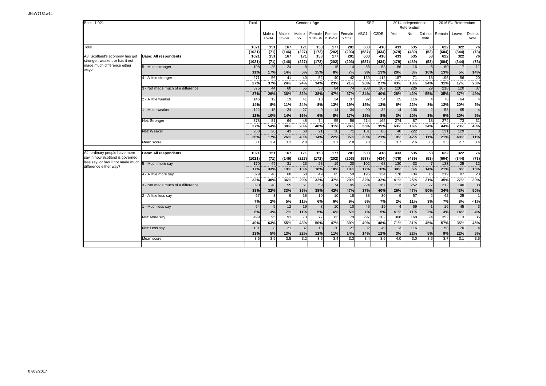| Base: 1,021                                                       |                                   | Total          |                        |                 |                      | Gender x Age           |                   |                   | <b>SEG</b>   |                         |                         | 2014 Independence<br>Referendum |                      |                         | 2016 EU Referendum      |                      |
|-------------------------------------------------------------------|-----------------------------------|----------------|------------------------|-----------------|----------------------|------------------------|-------------------|-------------------|--------------|-------------------------|-------------------------|---------------------------------|----------------------|-------------------------|-------------------------|----------------------|
|                                                                   |                                   |                | Male x<br>16-34        | Male x<br>35-54 | Male x<br>$55+$      | Female<br>x 16-34      | Female<br>x 35-54 | Female<br>$x 55+$ | ABC1         | C <sub>2</sub> DE       | Yes                     | No                              | Did not<br>vote      | Remain                  | Leave                   | Did not<br>vote      |
| Total                                                             |                                   | 1021<br>(1021) | 151<br>(71)            | 167<br>(146)    | 171<br>(227)         | 153<br>(172)           | 177<br>(202)      | 201<br>(203)      | 603<br>(587) | 418<br>(434)            | 433<br>(479)            | 535<br>(489)                    | 53<br>(53)           | 622<br>(604)            | 322<br>(344)            | 76<br>(73)           |
| A3. Scotland's economy has got<br>stronger, weaker, or has it not | <b>Base: All respondents</b>      | 1021<br>(1021) | 151<br>(71)            | 167<br>(146)    | 171<br>(227)         | 153<br>(172)           | 177<br>(202)      | 201<br>(203)      | 603<br>(587) | 418<br>(434)            | 433<br>(479)            | 535<br>(489)                    | 53<br>(53)           | 622<br>(604)            | 322<br>(344)            | 76<br>(73)           |
| made much difference either<br>wav?                               | 5 - Much stronger                 | 108<br>11%     | 25<br>17%              | 24<br>14%       | 8 <sup>1</sup><br>5% | 22<br>15%              | 15<br>8%          | 14<br>7%          | 55<br>9%     | 53<br>13%               | 86<br>20%               | 16<br>3%                        | 5<br>10%             | 80<br>13%               | 17<br>5%                | 11<br>14%            |
|                                                                   | 4 - A little stronger             | 271<br>27%     | 56<br>37%              | 41<br>24%       | 40<br>24%            | 52<br>34%              | 40<br>23%         | 42<br>21%         | 159<br>26%   | 112<br>27%              | 187<br>43%              | $\overline{71}$<br>13%          | 13<br>24%            | 195<br>31%              | 56<br>17%               | 20<br>26%            |
|                                                                   | 3 - Not made much of a difference | 375<br>37%     | 44<br>29%              | 60<br>36%       | 55<br>32%            | 58<br>38%              | 84<br>47%         | 74<br>37%         | 208<br>34%   | 167<br>40%              | 120<br>28%              | 226<br>42%                      | 29<br>55%            | 218<br>35%              | 120<br>37%              | 37<br>49%            |
|                                                                   | 2 - A little weaker               | 146<br>14%     | 12<br>8%               | 19<br>11%       | 41<br>24%            | 13<br>8%               | 24<br>13%         | 37<br>19%         | 92<br>15%    | 54<br>13%               | 25<br>6%                | 116<br>22%                      | 8%                   | 78<br>12%               | 64<br>20%               | $\overline{A}$<br>5% |
|                                                                   | 1 - Much weaker                   | 122<br>12%     | 15<br>10%              | 24<br>14%       | 27<br>16%            | 9<br>6%                | 14<br>8%          | 34<br>17%         | 90<br>15%    | 32<br>8%                | 14<br>3%                | 106<br>20%                      | $\overline{2}$<br>3% | 53<br>9%                | 65<br>20%               | $\overline{A}$<br>5% |
|                                                                   | Net: Stronger                     | 378<br>37%     | 81<br>54%              | 64<br>38%       | 48<br>28%            | 74<br>48%              | 55<br>31%         | 56<br>28%         | 214<br>35%   | 165<br>39%              | 274<br>63%              | 87<br>16%                       | 18<br>34%            | 274<br>44%              | 73<br>23%               | 31<br>40%            |
|                                                                   | Net: Weaker                       | 268<br>26%     | $\overline{26}$<br>17% | 43<br>26%       | 68<br>40%            | 21<br>14%              | 38<br>22%         | 71<br>35%         | 181<br>30%   | 86<br>21%               | 40<br>9%                | $\overline{222}$<br>42%         | 6<br>11%             | 131<br>21%              | 129<br>40%              | 8<br>11%             |
|                                                                   | Mean score                        | 3.1            | 3.4                    | 3.1             | 2.8                  | 3.4                    | 3.1               | 2.8               | 3.0          | 3.2                     | 3.7                     | 2.6                             | 3.3                  | 3.3                     | 2.7                     | 3.4                  |
| A4. ordinary people have more<br>say in how Scotland is governed, | <b>Base: All respondents</b>      | 1021<br>(1021) | 151<br>(71)            | 167<br>(146)    | 171<br>(227)         | 153<br>(172)           | 177<br>(202)      | 201<br>(203)      | 603<br>(587) | 418<br>(434)            | 433<br>(479)            | 535<br>(489)                    | 53<br>(53)           | 622<br>(604)            | 322<br>(344)            | 76<br>(73)           |
| less say, or has it not made much<br>difference either way?       | 5 - Much more say                 | 170<br>17%     | 49<br>33%              | 31<br>19%       | 23<br>13%            | 28<br>18%              | 19<br>10%         | 20<br>10%         | 102<br>17%   | 68<br>16%               | 130<br>30%              | 33<br>6%                        | 14%                  | 133<br>21%              | 25<br>8%                | 12<br>16%            |
|                                                                   | 4 - A little more say             | 329<br>32%     | 46<br>30%              | 60<br>36%       | 50<br>29%            | 49<br>32%              | 65<br>37%         | 59<br>29%         | 195<br>32%   | 134<br>32%              | 178<br>41%              | 134<br>25%                      | 16<br>31%            | 219<br>35%              | 87<br>27%               | 23<br>30%            |
|                                                                   | 3 - Not made much of a difference | 390<br>38%     | 48<br>32%              | 55<br>33%       | 61<br>35%            | $\overline{59}$<br>38% | 74<br>42%         | 95<br>47%         | 224<br>37%   | $\overline{167}$<br>40% | $\overline{112}$<br>26% | 252<br>47%                      | 27<br>50%            | $\overline{212}$<br>34% | $\overline{140}$<br>43% | 38<br>50%            |
|                                                                   | 2 - A little less say             | 67<br>7%       | 3<br>2%                | 9<br>5%         | 18<br>11%            | 10<br>6%               | 10<br>6%          | 18<br>9%          | 38<br>6%     | 30<br>$\overline{7\%}$  | 9<br>2%                 | 57<br>11%                       | $\overline{2}$<br>3% | 42<br>7%                | 25<br>8%                | 1%                   |
|                                                                   | 1 - Much less say                 | 64<br>6%       | 5<br>3%                | 12<br>7%        | 19<br>11%            | 8<br>5%                | 10<br>6%          | 10<br>5%          | 45<br>7%     | 19<br>5%                | 1%                      | 59<br>11%                       | 2%                   | 16<br>3%                | 45<br>14%               | 3<br>4%              |
|                                                                   | Net: More say                     | 499<br>49%     | 95<br>63%              | 91<br>55%       | 73<br>43%            | $\overline{77}$<br>50% | 83<br>47%         | 79<br>39%         | 297<br>49%   | 202<br>48%              | 308<br>71%              | 168<br>31%                      | 24<br>45%            | 352<br>57%              | 113<br>35%              | 35<br>45%            |
|                                                                   | Net: Less say                     | 131<br>13%     | 8<br>5%                | 21<br>13%       | 37<br>22%            | 18<br>12%              | 20<br>11%         | 27<br>14%         | 82<br>14%    | 49<br>12%               | 13<br>3%                | 116<br>22%                      | 3<br>5%              | 58<br>9%                | 70<br>22%               | $\overline{4}$<br>5% |
|                                                                   | Mean score                        | 3.5            | 3.9                    | 3.5             | 3.2                  | 3.5                    | 3.4               | 3.3               | 3.4          | 3.5                     | 4.0                     | 3.0                             | 3.5                  | 3.7                     | 3.1                     | 3.5                  |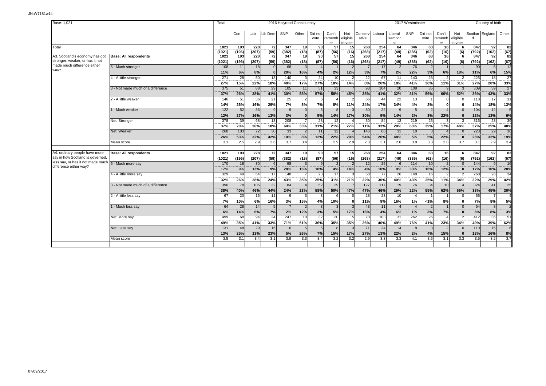| Base: 1,021                                                       |                                   | Total          |              |              |                 |                | 2016 Holyrood Constituency |                 |                       |                            |                  |                 |                         | 2017 Westminster |                 |                       |                            |              | Country of birth |                |
|-------------------------------------------------------------------|-----------------------------------|----------------|--------------|--------------|-----------------|----------------|----------------------------|-----------------|-----------------------|----------------------------|------------------|-----------------|-------------------------|------------------|-----------------|-----------------------|----------------------------|--------------|------------------|----------------|
|                                                                   |                                   |                | Con          | Lab          | Lib Dem         | SNP            | Other                      | Did not<br>vote | Can't<br>rememb<br>er | Not<br>eligible<br>to vote | Conserv<br>ative | Labour          | Liberal<br>Democr<br>at | <b>SNP</b>       | Did not<br>vote | Can't<br>rememb<br>er | Not<br>eligible<br>to vote | Scotlan<br>d | England          | Other          |
| Total                                                             |                                   | 1021           | 193          | 228          | 72              | 347            | 19                         | 90              | 57                    | 15                         | 268              | 254             | 64                      | 346              | 63              | 16                    |                            | 847          | 92               | 82             |
| A3. Scotland's economy has got                                    | <b>Base: All respondents</b>      | (1021)<br>1021 | (196)<br>193 | (207)<br>228 | (59)<br>72      | (382)<br>347   | (18)<br>19                 | (87)<br>90      | (56)<br>57            | (16)<br>15                 | (268)<br>268     | (217)<br>254    | (49)<br>64              | (385)<br>346     | (62)<br>63      | (16)<br>16            | (6)<br>-6                  | (792)<br>847 | (162)<br>92      | (67)<br>82     |
| stronger, weaker, or has it not                                   |                                   | (1021)         | (196)        | (207)        | (59)            | (382)          | (18)                       | (87)            | (56)                  | (16)                       | (268)            | (217)           | (49)                    | (385)            | (62)            | (16)                  | (6)                        | (792)        | (162)            | (67)           |
| made much difference either                                       | 5 - Much stronger                 | 108            | 11           | 18           | 0               | 68             |                            |                 |                       |                            |                  | 17              | $\overline{2}$          | 76               | $\overline{2}$  |                       |                            | 90           |                  | 12             |
| way?                                                              |                                   | 11%            | 6%           | 8%           | 0               | 20%            | 16%                        | 4%              | 2%                    | 12%                        | 3%               | 7%              | 2%                      | 22%              | 3%              | 6%                    | 18%                        | 11%          | 6%               | 15%            |
|                                                                   | 4 - A little stronger             | 271            | 28           | 50           | 13              | 140            |                            | 24              | 10                    |                            | 22               | 67              | 11                      | 143              | 23              |                       |                            | 225          | 18               | 27             |
|                                                                   |                                   | 27%            | 15%          | 22%          | 18%             | 40%            | 17%                        | 27%             | 18%                   | 14%                        | 8%               | 26%             | 18%                     | 41%              | 36%             | 11%                   | 31%                        | 27%          | 20%              | 33%            |
|                                                                   | 3 - Not made much of a difference | 375            | 51           | 88           | 29              | 105            | 11                         | 51              | 33                    |                            | 93               | 104             | 20                      | 108              | 35              |                       |                            | 309          | 39               | 27             |
|                                                                   |                                   | 37%            | 26%          | 38%          | 41%             | 30%            | 58%                        | 57%             | 58%                   | 45%                        | 35%              | 41%             | 32%                     | 31%              | 56%             | 60%                   | 52%                        | 36%          | 43%              | 33%            |
|                                                                   | 2 - A little weaker               | 146            | 51           | 36           | 21              | 25             | $\overline{2}$             |                 | $\overline{4}$        |                            | 66               | 44              | 22                      | 13               |                 |                       |                            | 118          | 17               | 11             |
|                                                                   |                                   | 14%            | 26%          | 16%          | 29%             | 7%             | 8%                         | 7%              | 8%                    | 11%                        | 24%              | 17%             | 34%                     | 4%               | 2%              | $\Omega$              |                            | 14%          | 18%              | 13%            |
|                                                                   | 1 - Much weaker                   | 122            | 52           | 36           | 9               | $\mathbf{q}$   | $\Omega$                   |                 |                       |                            | 80               | 22              | 9                       |                  | $\overline{2}$  |                       |                            | 104          | 12               | $\overline{5}$ |
|                                                                   |                                   | 12%            | 27%          | 16%          | 13%             | 3%             | $\Omega$                   | 5%              | 14%                   | 17%                        | 30%              | 9%              | 14%                     | 2%               | 3%              | 22%                   | $\epsilon$                 | 12%          | 13%              | 6%             |
|                                                                   | Net: Stronger                     | 378            | 39           | 68           | 13              | 208            |                            | 28              | 12                    |                            | 30               | 84              | 13                      | 219              | 25              |                       |                            | 315          | 23               | 39             |
|                                                                   |                                   | 37%            | 20%          | 30%          | 18%             | 60%            | 33%                        | 31%             | 21%                   | 27%                        | 11%              | 33%             | 20%                     | 63%              | 39%             | 17%                   | 48%                        | 37%          | 25%              | 48%            |
|                                                                   | Net: Weaker                       | 268            | 103          | 72           | 30              | 33             |                            | 11              | 12                    |                            | 146              | 66              | 31                      | 18               |                 |                       |                            | 223          | 29               | 16             |
|                                                                   |                                   | 26%            | 53%          | 32%          | 42%             | 10%            | 8%                         | 12%             | 22%                   | 29%                        | 54%              | 26%             | 48%                     | 5%               | 5%              | 22%                   |                            | 26%          | 32%              | 19%            |
|                                                                   | Mean score                        | 3.1            | 2.5          | 2.9          | 2.6             | 3.7            | 3.4                        | 3.2             | 2.9                   | 2.9                        | 2.3              | 3.1             | 2.6                     | 3.8              | 3.3             | 2.8                   | 3.7                        | 3.1          | 2.9              | 3.4            |
|                                                                   |                                   |                | 193          | 228          | $\overline{72}$ | 347            |                            | 90l             |                       | 15                         | 268              | 254             | 64                      | 346              | 63              | 16                    |                            | 847          | -92 l            | 82             |
| 44. ordinary people have more<br>say in how Scotland is governed, | <b>Base: All respondents</b>      | 1021<br>(1021) | (196)        | (207)        | (59)            | (382)          | 19<br>(18)                 | (87)            | 57<br>(56)            | (16)                       | (268)            | (217)           | (49)                    | (385)            | (62)            | (16)                  | - 6<br>(6)                 | (792)        | (162)            | (67)           |
| less say, or has it not made much                                 | 5 - Much more say                 | 170            | 18           | 30           | 6               | 98             |                            |                 | $\overline{2}$        |                            | 12               | 25              | 6                       | 114              | 10              | $\overline{2}$        |                            | 144          |                  | 16             |
| difference either way?                                            |                                   | 17%            | 9%           | 13%          | 9%              | 28%            | 16%                        | 10%             | 4%                    | 14%                        | 4%               | 10%             | 9%                      | 33%              | 16%             | 12%                   |                            | 17%          | 10%              | 20%            |
|                                                                   | 4 - A little more sav             | 329            | 49           | 64           | 17              | 148            |                            | 23              | 17                    |                            | $\overline{58}$  | $\overline{77}$ | 26                      | 148              | 16              | $\overline{2}$        |                            | 268          | $\overline{26}$  | 34             |
|                                                                   |                                   | 32%            | 26%          | 28%          | 24%             | 43%            | 35%                        | 25%             | 31%                   | 21%                        | 22%              | 30%             | 40%                     | 43%              | 25%             | 11%                   | 34%                        | 32%          | 29%              | 42%            |
|                                                                   | 3 - Not made much of a difference | 390            | 78           | 105          | 32              | 84             |                            | 52              | 29                    |                            | 127              | 117             | 19                      | 76               | 34              | 10 <sup>1</sup>       |                            | 324          | 41               | 25             |
|                                                                   |                                   | 38%            | 40%          | 46%          | 44%             | 24%            | 23%                        | 58%             | 50%                   | 47%                        | 47%              | 46%             | 29%                     | 22%              | 55%             | 62%                   | 66%                        | 38%          | 45%              | 30%            |
|                                                                   | 2 - A little less say             | 67             | 20           | 15           | 11              | <b>q</b>       |                            | 3               | 6                     |                            | 28               | 23              | 10                      |                  | $\overline{1}$  |                       |                            | 56           |                  |                |
|                                                                   |                                   | 7%             | 10%          | 6%           | 16%             | 3%             | 15%                        | 4%              | 10%                   |                            | 11%              | 9%              | 16%                     | 1%               | $< 1\%$         | 8%                    |                            | 7%           | 8%               | 5%             |
|                                                                   | 1 - Much less say                 | 64             | 28           | 14           | 5               | $\overline{7}$ | $\overline{2}$             | $\mathcal{R}$   | $\mathcal{R}$         |                            | 43               | 11              | $\boldsymbol{\Lambda}$  |                  | $\overline{2}$  |                       | $\Omega$                   | 54           | 8                | $\overline{2}$ |
|                                                                   |                                   | 6%             | 14%          | 6%           | 7%              | 2%             | 12%                        | 3%              | 5%                    | 17%                        | 16%              | 4%              | 6%                      | 1%               | 3%              | 7%                    |                            | 6%           | 8%               | 3%             |
|                                                                   | Net: More say                     | 499            | 68           | 94           | 24              | 247            | 10                         | 32              | 20                    |                            | 70               | 103             | 31                      | 262              | 26              |                       |                            | 412          | 36               | 51             |
|                                                                   |                                   | 49%            | 35%          | 41%          | 33%             | 71%            | 51%                        | 36%             | 35%                   | 35%                        | 26%              | 40%             | 49%                     | 76%              | 41%             | 23%                   | 34%                        | 49%          | 39%              | 62%            |
|                                                                   | Net: Less say                     | 131            | 48           | 29           | 16              | 16             |                            |                 |                       |                            | 71               | 34              | 14                      |                  | 3               |                       |                            | 110          | 15               | 6              |
|                                                                   |                                   | 13%            | 25%          | 13%          | 23%             | 5%             | 26%                        | 7%              | 15%                   | 17%                        | 27%              | 13%             | 22%                     | 2%               | 4%              | 15%                   |                            | 13%          | 16%              | 8%             |
|                                                                   | Mean score                        | 3.5            | 3.1          | 3.4          | 3.1             | 3.9            | 3.3                        | 3.4             | 3.2                   | 3.2                        | 2.9              | 3.3             | 3.3                     | 4.1              | 3.5             | 3.1                   | 3.3                        | 3.5          | 3.2              | 3.7            |
|                                                                   |                                   |                |              |              |                 |                |                            |                 |                       |                            |                  |                 |                         |                  |                 |                       |                            |              |                  |                |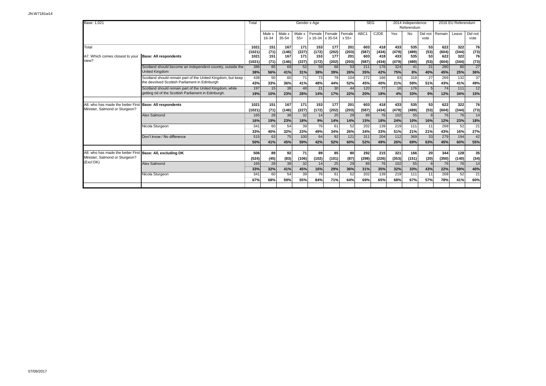| Base: 1.021                       |                                                             | Total          |                 |                 |                 | Gender x Age              |              |                 | <b>SEG</b>       |                   |              | 2014 Independence<br>Referendum |                 |              | 2016 EU Referendum |                 |
|-----------------------------------|-------------------------------------------------------------|----------------|-----------------|-----------------|-----------------|---------------------------|--------------|-----------------|------------------|-------------------|--------------|---------------------------------|-----------------|--------------|--------------------|-----------------|
|                                   |                                                             |                | Male x<br>16-34 | Male x<br>35-54 | Male x<br>$55+$ | Female<br>x 16-34 x 35-54 | Female       | Female<br>x 55+ | ABC <sub>1</sub> | C <sub>2</sub> DE | Yes          | No                              | Did not<br>vote | Remain       | Leave              | Did not<br>vote |
| Total                             |                                                             | 1021           | 151             | 167             | 171             | 153                       | 177          | 201             | 603              | 418               | 433          | 535                             | 53              | 622          | 322                | 76              |
| A7. Which comes closest to your   | <b>Base: All respondents</b>                                | (1021)<br>1021 | (71)<br>151     | (146)<br>167    | (227)<br>171    | (172)<br>153              | (202)<br>177 | (203)<br>201    | (587)<br>603     | (434)<br>418      | (479)<br>433 | (489)<br>535                    | (53)<br>53      | (604)<br>622 | (344)<br>322       | (73)<br>76      |
| view?                             |                                                             | (1021)         | (71)            | (146)           | (227)           | (172)                     | (202)        | (203)           | (587)            | (434)             | (479)        | (489)                           | (53)            | (604)        | (344)              | (73)            |
|                                   | Scotland should become an independent country, outside the  | 386            | 85              | 69              | 52              | 59                        | 68           | 53              | 211              | 176               | 324          | 41                              | 21              | 280          | 80                 | 27              |
|                                   | <b>United Kinadom</b>                                       | 38%            | 56%             | 41%             | 31%             | 38%                       | 39%          | 26%             | 35%              | 42%               | 75%          | 8%                              | 40%             | 45%          | 25%                | .<br>36%        |
|                                   | Scotland should remain part of the United Kingdom, but keep | 438            | 50              | 60              | 71              | 73                        | 79           | 104             | 272              | 166               | 93           | 318                             | 27              | 269          | 132                | $\overline{37}$ |
|                                   | the devolved Scottish Parliament in Edinburgh               | 43%            | 33%             | 36%             | 41%             | 48%                       | 44%          | 52%             | 45%              | 40%               | 21%          | 59%                             | 51%             | 43%          | 41%                | 49%             |
|                                   | Scotland should remain part of the United Kingdom, while    | 197            | 15              | 38              | 48              | 21                        | 30           | 44              | 120              | 77                | 16           | 176                             |                 | 74           | 111                | 12              |
|                                   | getting rid of the Scottish Parliament in Edinburgh.        | 19%            | 10%             | 23%             | 28%             | 14%                       | 17%          | 22%             | 20%              | 18%               | 4%           | 33%                             | 9%              | 12%          | 34%                | 15%             |
|                                   |                                                             |                |                 |                 |                 |                           |              |                 |                  |                   |              |                                 |                 |              |                    |                 |
| A8. who has made the better First | <b>Base: All respondents</b>                                | 1021           | 151             | 167             | 171             | 153                       | 177          | 201             | 603              | 418               | 433          | 535                             | 53              | 622          | 322                | 76              |
| Minister, Salmond or Sturgeon?    |                                                             | (1021)         | (71)            | (146)           | (227)           | (172)                     | (202)        | (203)           | (587)            | (434)             | (479)        | (489)                           | (53)            | (604)        | (344)              | (73)            |
|                                   | Alex Salmond                                                | 165            | 28              | 38              | 32              | 14                        | 25           | 29              | 89               | 76                | 102          | 55                              | $\mathsf{R}$    | 76           | 76                 | 14              |
|                                   |                                                             | 16%            | 19%             | 23%             | 18%             | 9%                        | 14%          | 14%             | 15%              | 18%               | 24%          | 10%                             | 16%             | 12%          | 23%                | 18%             |
|                                   | Nicola Sturgeon                                             | 341            | 60              | 54              | 39              | 76                        | 61           | 52              | 202              | 139               | 219          | 111                             | 11              | 268          | 52                 | $\overline{21}$ |
|                                   |                                                             | 33%            | 40%             | 32%             | 23%             | 49%                       | 34%          | 26%             | 34%<br>311       | 33%               | 51%          | 21%<br>369                      | 21%             | 43%          | 16%<br>194         | 27%             |
|                                   | Don't know / No difference                                  | 515            | 63              | 75              | 100             | 64                        | 92           | 121             |                  | 204               | 112          |                                 | 33              | 279          |                    | 42              |
|                                   |                                                             | 50%            | 41%             | 45%             | 59%             | 42%                       | 52%          | 60%             | 52%              | 49%               | 26%          | 69%                             | 63%             | 45%          | 60%                | 55%             |
| A8. who has made the better First | Base: All, excluding DK                                     | 506            | 89              | 92              | 71              | 89                        | 85           | 80              | 292              | 215               | 321          | 166                             | 20              | 344          | 128                | 35              |
| Minister, Salmond or Sturgeon?    |                                                             | (524)          | (45)            | (83)            | (106)           | (102)                     | (101)        | (87)            | (298)            | (226)             | (353)        | (151)                           | (20)            | (350)        | (140)              | (34)            |
| (Excl DK)                         | Alex Salmond                                                | 165            | 28              | 38              | 32              | 14                        | 25           | 29              | 89               | 76                | 102          | 55                              |                 | 76           | 76                 | 14              |
|                                   |                                                             | 33%            | 32%             | 41%             | 45%             | 16%                       | 29%          | 36%             | 31%              | 35%               | 32%          | 33%                             | 43%             | 22%          | 59%                | <br>40%         |
|                                   | Nicola Sturgeon                                             | 341            | 60              | 54              | 39              | 76                        | 61           | 52              | 202              | 139               | 219          | 111                             | 11              | 268          | 52                 | $\overline{21}$ |
|                                   |                                                             | 67%            | 68%             | 59%             | 55%             | 84%                       | 71%          | 64%             | 69%              | 65%               | 68%          | 67%                             | 57%             | 78%          | 41%                | 60%             |
|                                   |                                                             |                |                 |                 |                 |                           |              |                 |                  |                   |              |                                 |                 |              |                    |                 |